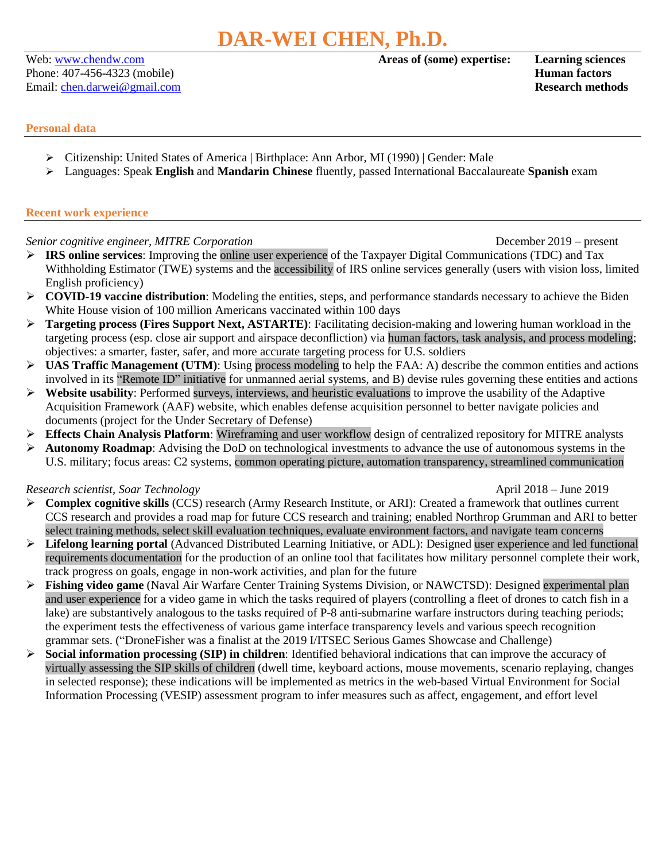Phone: 407-456-4323 (mobile) **Human factors** Email: [chen.darwei@gmail.com](mailto:chen.darwei@gmail.com) **Research methods**

## Web: [www.chendw.com](http://www.chendw.com/) **Areas of (some) expertise: Learning sciences**

## **Personal data**

- ➢ Citizenship: United States of America | Birthplace: Ann Arbor, MI (1990) | Gender: Male
- ➢ Languages: Speak **English** and **Mandarin Chinese** fluently, passed International Baccalaureate **Spanish** exam

# **Recent work experience**

*Senior cognitive engineer, MITRE Corporation* December 2019 – present

- ➢ **IRS online services**: Improving the online user experience of the Taxpayer Digital Communications (TDC) and Tax Withholding Estimator (TWE) systems and the accessibility of IRS online services generally (users with vision loss, limited English proficiency)
- ➢ **COVID-19 vaccine distribution**: Modeling the entities, steps, and performance standards necessary to achieve the Biden White House vision of 100 million Americans vaccinated within 100 days
- ➢ **Targeting process (Fires Support Next, ASTARTE)**: Facilitating decision-making and lowering human workload in the targeting process (esp. close air support and airspace deconfliction) via human factors, task analysis, and process modeling; objectives: a smarter, faster, safer, and more accurate targeting process for U.S. soldiers
- ➢ **UAS Traffic Management (UTM)**: Using process modeling to help the FAA: A) describe the common entities and actions involved in its "Remote ID" initiative for unmanned aerial systems, and B) devise rules governing these entities and actions
- ➢ **Website usability**: Performed surveys, interviews, and heuristic evaluations to improve the usability of the Adaptive Acquisition Framework (AAF) website, which enables defense acquisition personnel to better navigate policies and documents (project for the Under Secretary of Defense)
- ➢ **Effects Chain Analysis Platform**: Wireframing and user workflow design of centralized repository for MITRE analysts
- ➢ **Autonomy Roadmap**: Advising the DoD on technological investments to advance the use of autonomous systems in the U.S. military; focus areas: C2 systems, common operating picture, automation transparency, streamlined communication

# *Research scientist, Soar Technology* April 2018 – June 2019

- ➢ **Complex cognitive skills** (CCS) research (Army Research Institute, or ARI): Created a framework that outlines current CCS research and provides a road map for future CCS research and training; enabled Northrop Grumman and ARI to better select training methods, select skill evaluation techniques, evaluate environment factors, and navigate team concerns
- ➢ **Lifelong learning portal** (Advanced Distributed Learning Initiative, or ADL): Designed user experience and led functional requirements documentation for the production of an online tool that facilitates how military personnel complete their work, track progress on goals, engage in non-work activities, and plan for the future
- ➢ **Fishing video game** (Naval Air Warfare Center Training Systems Division, or NAWCTSD): Designed experimental plan and user experience for a video game in which the tasks required of players (controlling a fleet of drones to catch fish in a lake) are substantively analogous to the tasks required of P-8 anti-submarine warfare instructors during teaching periods; the experiment tests the effectiveness of various game interface transparency levels and various speech recognition grammar sets. ("DroneFisher was a finalist at the 2019 I/ITSEC Serious Games Showcase and Challenge)
- ➢ **Social information processing (SIP) in children**: Identified behavioral indications that can improve the accuracy of virtually assessing the SIP skills of children (dwell time, keyboard actions, mouse movements, scenario replaying, changes in selected response); these indications will be implemented as metrics in the web-based Virtual Environment for Social Information Processing (VESIP) assessment program to infer measures such as affect, engagement, and effort level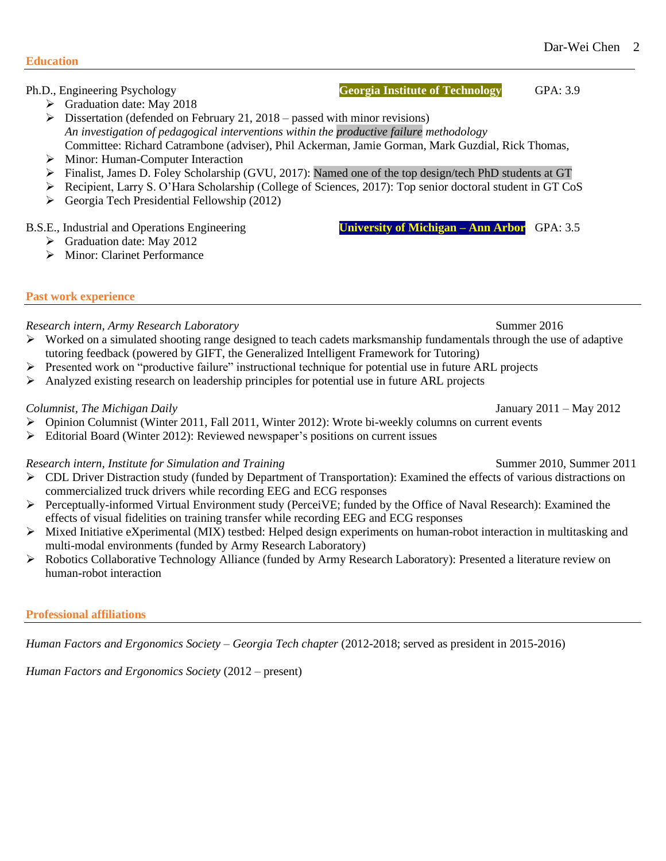## Ph.D., Engineering Psychology **Georgia Institute of Technology** GPA: 3.9

- ➢ Graduation date: May 2018
- $\triangleright$  Dissertation (defended on February 21, 2018 passed with minor revisions) *An investigation of pedagogical interventions within the productive failure methodology* Committee: Richard Catrambone (adviser), Phil Ackerman, Jamie Gorman, Mark Guzdial, Rick Thomas,
- ➢ Minor: Human-Computer Interaction
- ➢ Finalist, James D. Foley Scholarship (GVU, 2017): Named one of the top design/tech PhD students at GT
- ➢ Recipient, Larry S. O'Hara Scholarship (College of Sciences, 2017): Top senior doctoral student in GT CoS
- ➢ Georgia Tech Presidential Fellowship (2012)

# B.S.E., Industrial and Operations Engineering **University of Michigan – Ann Arbor** GPA: 3.5

➢ Graduation date: May 2012

# ➢ Minor: Clarinet Performance

# **Past work experience**

# *Research intern, Army Research Laboratory* Summer 2016

- $\triangleright$  Worked on a simulated shooting range designed to teach cadets marksmanship fundamentals through the use of adaptive tutoring feedback (powered by GIFT, the Generalized Intelligent Framework for Tutoring)
- ➢ Presented work on "productive failure" instructional technique for potential use in future ARL projects
- $\triangleright$  Analyzed existing research on leadership principles for potential use in future ARL projects

# *Columnist, The Michigan Daily* January 2011 – May 2012

- $\triangleright$  Opinion Columnist (Winter 2011, Fall 2011, Winter 2012): Wrote bi-weekly columns on current events
- ➢ Editorial Board (Winter 2012): Reviewed newspaper's positions on current issues

# *Research intern, Institute for Simulation and Training* Summer 2010, Summer 2011

- $\triangleright$  CDL Driver Distraction study (funded by Department of Transportation): Examined the effects of various distractions on commercialized truck drivers while recording EEG and ECG responses
- ➢ Perceptually-informed Virtual Environment study (PerceiVE; funded by the Office of Naval Research): Examined the effects of visual fidelities on training transfer while recording EEG and ECG responses
- ➢ Mixed Initiative eXperimental (MIX) testbed: Helped design experiments on human-robot interaction in multitasking and multi-modal environments (funded by Army Research Laboratory)
- ➢ Robotics Collaborative Technology Alliance (funded by Army Research Laboratory): Presented a literature review on human-robot interaction

# **Professional affiliations**

*Human Factors and Ergonomics Society – Georgia Tech chapter* (2012-2018; served as president in 2015-2016)

*Human Factors and Ergonomics Society* (2012 – present)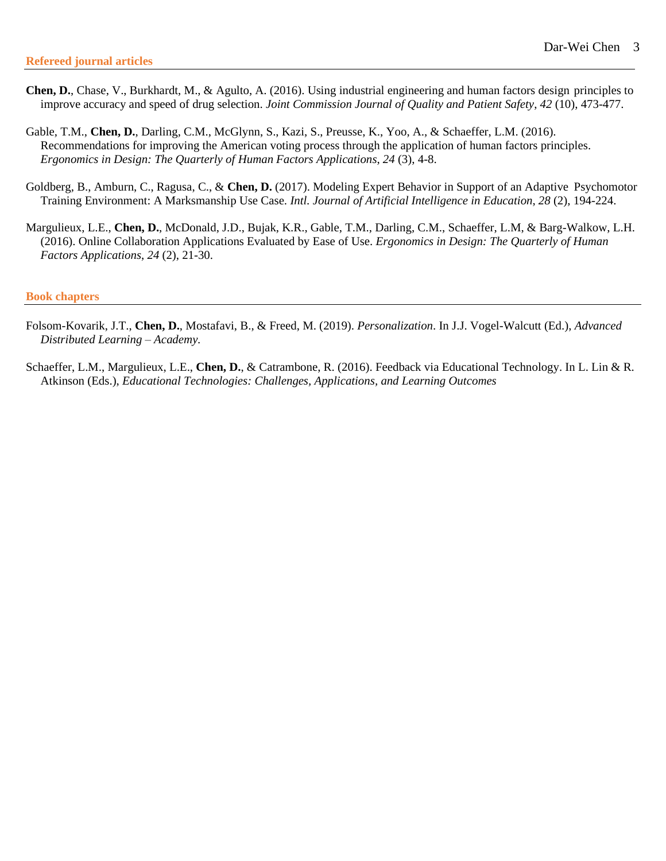- **Chen, D.**, Chase, V., Burkhardt, M., & Agulto, A. (2016). Using industrial engineering and human factors design principles to improve accuracy and speed of drug selection. *Joint Commission Journal of Quality and Patient Safety*, *42* (10), 473-477.
- Gable, T.M., **Chen, D.**, Darling, C.M., McGlynn, S., Kazi, S., Preusse, K., Yoo, A., & Schaeffer, L.M. (2016). Recommendations for improving the American voting process through the application of human factors principles. *Ergonomics in Design: The Quarterly of Human Factors Applications*, *24* (3), 4-8.
- Goldberg, B., Amburn, C., Ragusa, C., & **Chen, D.** (2017). Modeling Expert Behavior in Support of an Adaptive Psychomotor Training Environment: A Marksmanship Use Case. *Intl. Journal of Artificial Intelligence in Education*, *28* (2), 194-224.
- Margulieux, L.E., **Chen, D.**, McDonald, J.D., Bujak, K.R., Gable, T.M., Darling, C.M., Schaeffer, L.M, & Barg-Walkow, L.H. (2016). Online Collaboration Applications Evaluated by Ease of Use. *Ergonomics in Design: The Quarterly of Human Factors Applications*, *24* (2), 21-30.

### **Book chapters**

- Folsom-Kovarik, J.T., **Chen, D.**, Mostafavi, B., & Freed, M. (2019). *Personalization*. In J.J. Vogel-Walcutt (Ed.), *Advanced Distributed Learning – Academy.*
- Schaeffer, L.M., Margulieux, L.E., **Chen, D.**, & Catrambone, R. (2016). Feedback via Educational Technology. In L. Lin & R. Atkinson (Eds.), *Educational Technologies: Challenges, Applications, and Learning Outcomes*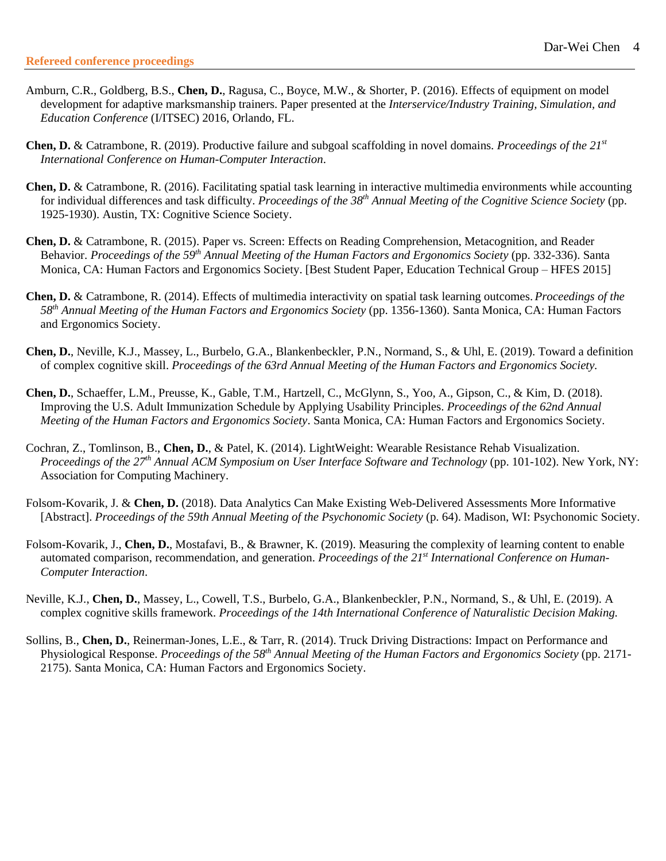- Amburn, C.R., Goldberg, B.S., **Chen, D.**, Ragusa, C., Boyce, M.W., & Shorter, P. (2016). Effects of equipment on model development for adaptive marksmanship trainers. Paper presented at the *Interservice/Industry Training, Simulation, and Education Conference* (I/ITSEC) 2016, Orlando, FL.
- **Chen, D.** & Catrambone, R. (2019). Productive failure and subgoal scaffolding in novel domains. *Proceedings of the 21st International Conference on Human-Computer Interaction*.
- **Chen, D.** & Catrambone, R. (2016). Facilitating spatial task learning in interactive multimedia environments while accounting for individual differences and task difficulty. *Proceedings of the 38th Annual Meeting of the Cognitive Science Society* (pp. 1925-1930). Austin, TX: Cognitive Science Society.
- **Chen, D.** & Catrambone, R. (2015). Paper vs. Screen: Effects on Reading Comprehension, Metacognition, and Reader Behavior. *Proceedings of the 59th Annual Meeting of the Human Factors and Ergonomics Society* (pp. 332-336). Santa Monica, CA: Human Factors and Ergonomics Society. [Best Student Paper, Education Technical Group – HFES 2015]
- **Chen, D.** & Catrambone, R. (2014). Effects of multimedia interactivity on spatial task learning outcomes.*Proceedings of the 58th Annual Meeting of the Human Factors and Ergonomics Society* (pp. 1356-1360). Santa Monica, CA: Human Factors and Ergonomics Society.
- **Chen, D.**, Neville, K.J., Massey, L., Burbelo, G.A., Blankenbeckler, P.N., Normand, S., & Uhl, E. (2019). Toward a definition of complex cognitive skill. *Proceedings of the 63rd Annual Meeting of the Human Factors and Ergonomics Society.*
- **Chen, D.**, Schaeffer, L.M., Preusse, K., Gable, T.M., Hartzell, C., McGlynn, S., Yoo, A., Gipson, C., & Kim, D. (2018). Improving the U.S. Adult Immunization Schedule by Applying Usability Principles. *Proceedings of the 62nd Annual Meeting of the Human Factors and Ergonomics Society*. Santa Monica, CA: Human Factors and Ergonomics Society.
- Cochran, Z., Tomlinson, B., **Chen, D.**, & Patel, K. (2014). LightWeight: Wearable Resistance Rehab Visualization. *Proceedings of the 27th Annual ACM Symposium on User Interface Software and Technology* (pp. 101-102). New York, NY: Association for Computing Machinery.
- Folsom-Kovarik, J. & **Chen, D.** (2018). Data Analytics Can Make Existing Web-Delivered Assessments More Informative [Abstract]. *Proceedings of the 59th Annual Meeting of the Psychonomic Society* (p. 64). Madison, WI: Psychonomic Society.
- Folsom-Kovarik, J., **Chen, D.**, Mostafavi, B., & Brawner, K. (2019). Measuring the complexity of learning content to enable automated comparison, recommendation, and generation. *Proceedings of the 21st International Conference on Human-Computer Interaction*.
- Neville, K.J., **Chen, D.**, Massey, L., Cowell, T.S., Burbelo, G.A., Blankenbeckler, P.N., Normand, S., & Uhl, E. (2019). A complex cognitive skills framework. *Proceedings of the 14th International Conference of Naturalistic Decision Making.*
- Sollins, B., **Chen, D.**, Reinerman-Jones, L.E., & Tarr, R. (2014). Truck Driving Distractions: Impact on Performance and Physiological Response. *Proceedings of the 58th Annual Meeting of the Human Factors and Ergonomics Society* (pp. 2171- 2175). Santa Monica, CA: Human Factors and Ergonomics Society.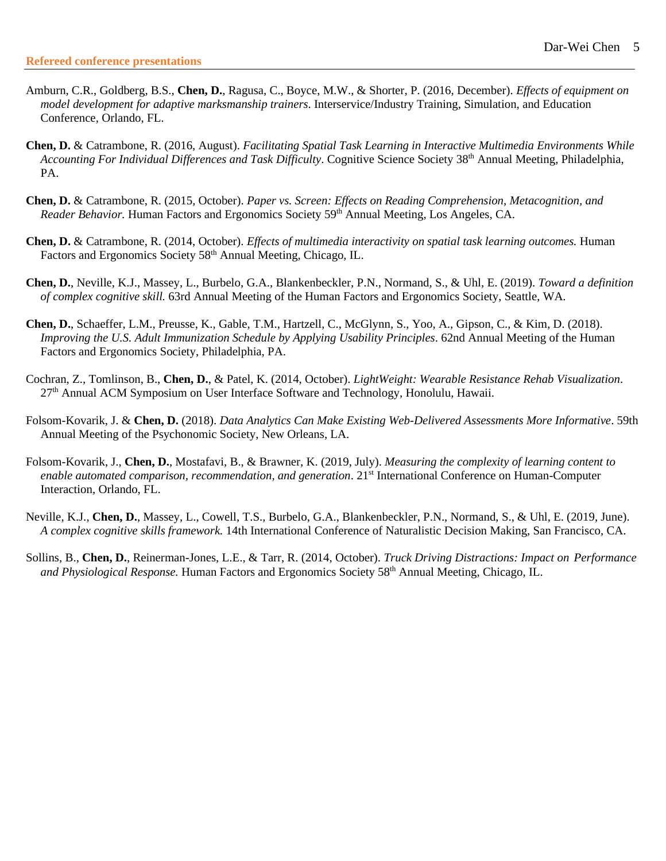- Amburn, C.R., Goldberg, B.S., **Chen, D.**, Ragusa, C., Boyce, M.W., & Shorter, P. (2016, December). *Effects of equipment on model development for adaptive marksmanship trainers*. Interservice/Industry Training, Simulation, and Education Conference, Orlando, FL.
- **Chen, D.** & Catrambone, R. (2016, August). *Facilitating Spatial Task Learning in Interactive Multimedia Environments While Accounting For Individual Differences and Task Difficulty*. Cognitive Science Society 38th Annual Meeting, Philadelphia, PA.
- **Chen, D.** & Catrambone, R. (2015, October). *Paper vs. Screen: Effects on Reading Comprehension, Metacognition, and Reader Behavior.* Human Factors and Ergonomics Society 59<sup>th</sup> Annual Meeting, Los Angeles, CA.
- **Chen, D.** & Catrambone, R. (2014, October). *Effects of multimedia interactivity on spatial task learning outcomes.* Human Factors and Ergonomics Society 58<sup>th</sup> Annual Meeting, Chicago, IL.
- **Chen, D.**, Neville, K.J., Massey, L., Burbelo, G.A., Blankenbeckler, P.N., Normand, S., & Uhl, E. (2019). *Toward a definition of complex cognitive skill.* 63rd Annual Meeting of the Human Factors and Ergonomics Society, Seattle, WA.
- **Chen, D.**, Schaeffer, L.M., Preusse, K., Gable, T.M., Hartzell, C., McGlynn, S., Yoo, A., Gipson, C., & Kim, D. (2018). *Improving the U.S. Adult Immunization Schedule by Applying Usability Principles*. 62nd Annual Meeting of the Human Factors and Ergonomics Society, Philadelphia, PA.
- Cochran, Z., Tomlinson, B., **Chen, D.**, & Patel, K. (2014, October). *LightWeight: Wearable Resistance Rehab Visualization*. 27<sup>th</sup> Annual ACM Symposium on User Interface Software and Technology, Honolulu, Hawaii.
- Folsom-Kovarik, J. & **Chen, D.** (2018). *Data Analytics Can Make Existing Web-Delivered Assessments More Informative*. 59th Annual Meeting of the Psychonomic Society, New Orleans, LA.
- Folsom-Kovarik, J., **Chen, D.**, Mostafavi, B., & Brawner, K. (2019, July). *Measuring the complexity of learning content to enable automated comparison, recommendation, and generation*. 21st International Conference on Human-Computer Interaction, Orlando, FL.
- Neville, K.J., **Chen, D.**, Massey, L., Cowell, T.S., Burbelo, G.A., Blankenbeckler, P.N., Normand, S., & Uhl, E. (2019, June). *A complex cognitive skills framework.* 14th International Conference of Naturalistic Decision Making, San Francisco, CA.
- Sollins, B., **Chen, D.**, Reinerman-Jones, L.E., & Tarr, R. (2014, October). *Truck Driving Distractions: Impact on Performance and Physiological Response.* Human Factors and Ergonomics Society 58th Annual Meeting, Chicago, IL.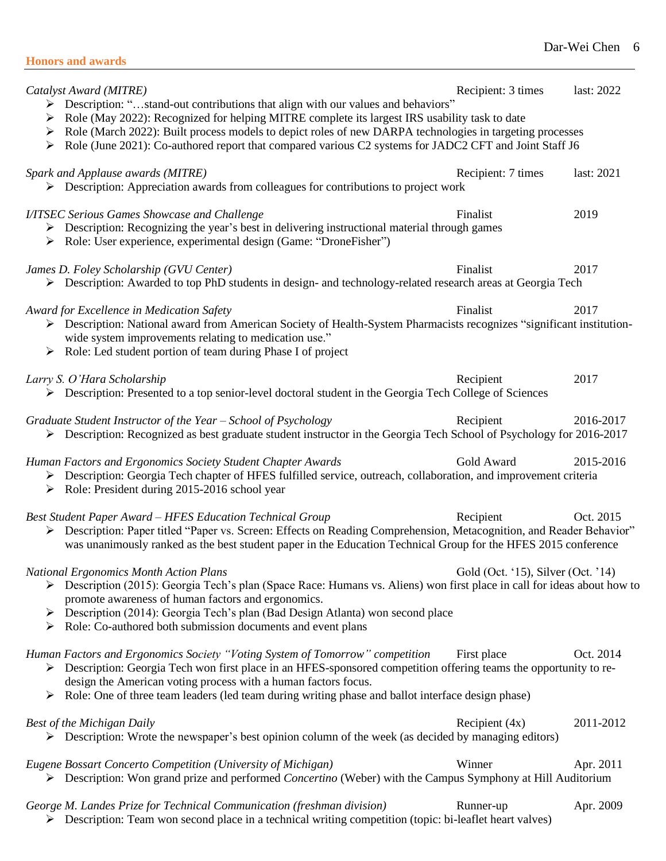| <b>Honors and awards</b> |
|--------------------------|
|--------------------------|

| Catalyst Award (MITRE)<br>> Description: "stand-out contributions that align with our values and behaviors"<br>Role (May 2022): Recognized for helping MITRE complete its largest IRS usability task to date<br>➤<br>> Role (March 2022): Built process models to depict roles of new DARPA technologies in targeting processes<br>> Role (June 2021): Co-authored report that compared various C2 systems for JADC2 CFT and Joint Staff J6 | Recipient: 3 times                 | last: 2022 |
|---------------------------------------------------------------------------------------------------------------------------------------------------------------------------------------------------------------------------------------------------------------------------------------------------------------------------------------------------------------------------------------------------------------------------------------------|------------------------------------|------------|
| Spark and Applause awards (MITRE)<br>$\triangleright$ Description: Appreciation awards from colleagues for contributions to project work                                                                                                                                                                                                                                                                                                    | Recipient: 7 times                 | last: 2021 |
| I/ITSEC Serious Games Showcase and Challenge<br>> Description: Recognizing the year's best in delivering instructional material through games<br>> Role: User experience, experimental design (Game: "DroneFisher")                                                                                                                                                                                                                         | Finalist                           | 2019       |
| James D. Foley Scholarship (GVU Center)<br>► Description: Awarded to top PhD students in design- and technology-related research areas at Georgia Tech                                                                                                                                                                                                                                                                                      | Finalist                           | 2017       |
| Award for Excellence in Medication Safety<br>> Description: National award from American Society of Health-System Pharmacists recognizes "significant institution-<br>wide system improvements relating to medication use."<br>$\triangleright$ Role: Led student portion of team during Phase I of project                                                                                                                                 | Finalist                           | 2017       |
| Larry S. O'Hara Scholarship<br>> Description: Presented to a top senior-level doctoral student in the Georgia Tech College of Sciences                                                                                                                                                                                                                                                                                                      | Recipient                          | 2017       |
| Graduate Student Instructor of the Year - School of Psychology<br>> Description: Recognized as best graduate student instructor in the Georgia Tech School of Psychology for 2016-2017                                                                                                                                                                                                                                                      | Recipient                          | 2016-2017  |
| Human Factors and Ergonomics Society Student Chapter Awards<br>> Description: Georgia Tech chapter of HFES fulfilled service, outreach, collaboration, and improvement criteria<br>$\triangleright$ Role: President during 2015-2016 school year                                                                                                                                                                                            | Gold Award                         | 2015-2016  |
| <b>Best Student Paper Award - HFES Education Technical Group</b><br>> Description: Paper titled "Paper vs. Screen: Effects on Reading Comprehension, Metacognition, and Reader Behavior"<br>was unanimously ranked as the best student paper in the Education Technical Group for the HFES 2015 conference                                                                                                                                  | Recipient                          | Oct. 2015  |
| <b>National Ergonomics Month Action Plans</b><br>> Description (2015): Georgia Tech's plan (Space Race: Humans vs. Aliens) won first place in call for ideas about how to<br>promote awareness of human factors and ergonomics.<br>$\triangleright$ Description (2014): Georgia Tech's plan (Bad Design Atlanta) won second place<br>$\triangleright$ Role: Co-authored both submission documents and event plans                           | Gold (Oct. '15), Silver (Oct. '14) |            |
| Human Factors and Ergonomics Society "Voting System of Tomorrow" competition<br>> Description: Georgia Tech won first place in an HFES-sponsored competition offering teams the opportunity to re-<br>design the American voting process with a human factors focus.<br>$\triangleright$ Role: One of three team leaders (led team during writing phase and ballot interface design phase)                                                  | First place                        | Oct. 2014  |
| Best of the Michigan Daily<br>$\triangleright$ Description: Wrote the newspaper's best opinion column of the week (as decided by managing editors)                                                                                                                                                                                                                                                                                          | Recipient $(4x)$                   | 2011-2012  |
| Eugene Bossart Concerto Competition (University of Michigan)<br>> Description: Won grand prize and performed Concertino (Weber) with the Campus Symphony at Hill Auditorium                                                                                                                                                                                                                                                                 | Winner                             | Apr. 2011  |
| George M. Landes Prize for Technical Communication (freshman division)<br>$\triangleright$ Description: Team won second place in a technical writing competition (topic: bi-leaflet heart valves)                                                                                                                                                                                                                                           | Runner-up                          | Apr. 2009  |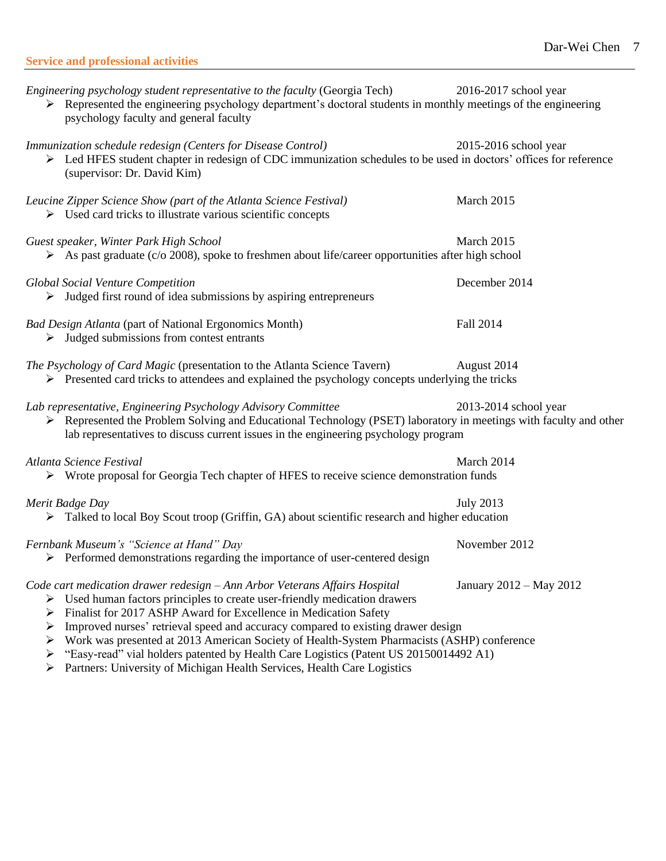| <b>Service and professional activities</b> |  |
|--------------------------------------------|--|
|                                            |  |

| Engineering psychology student representative to the faculty (Georgia Tech)<br>> Represented the engineering psychology department's doctoral students in monthly meetings of the engineering<br>psychology faculty and general faculty                                                                                                                                                                                                                                                                                   | 2016-2017 school year   |
|---------------------------------------------------------------------------------------------------------------------------------------------------------------------------------------------------------------------------------------------------------------------------------------------------------------------------------------------------------------------------------------------------------------------------------------------------------------------------------------------------------------------------|-------------------------|
| Immunization schedule redesign (Centers for Disease Control)<br>> Led HFES student chapter in redesign of CDC immunization schedules to be used in doctors' offices for reference<br>(supervisor: Dr. David Kim)                                                                                                                                                                                                                                                                                                          | 2015-2016 school year   |
| Leucine Zipper Science Show (part of the Atlanta Science Festival)<br>$\triangleright$ Used card tricks to illustrate various scientific concepts                                                                                                                                                                                                                                                                                                                                                                         | March 2015              |
| Guest speaker, Winter Park High School<br>$\triangleright$ As past graduate (c/o 2008), spoke to freshmen about life/career opportunities after high school                                                                                                                                                                                                                                                                                                                                                               | March 2015              |
| <b>Global Social Venture Competition</b><br>$\triangleright$ Judged first round of idea submissions by aspiring entrepreneurs                                                                                                                                                                                                                                                                                                                                                                                             | December 2014           |
| <b>Bad Design Atlanta (part of National Ergonomics Month)</b><br>$\triangleright$ Judged submissions from contest entrants                                                                                                                                                                                                                                                                                                                                                                                                | Fall 2014               |
| The Psychology of Card Magic (presentation to the Atlanta Science Tavern)<br>$\triangleright$ Presented card tricks to attendees and explained the psychology concepts underlying the tricks                                                                                                                                                                                                                                                                                                                              | August 2014             |
| Lab representative, Engineering Psychology Advisory Committee<br>> Represented the Problem Solving and Educational Technology (PSET) laboratory in meetings with faculty and other<br>lab representatives to discuss current issues in the engineering psychology program                                                                                                                                                                                                                                                 | 2013-2014 school year   |
| Atlanta Science Festival<br>> Wrote proposal for Georgia Tech chapter of HFES to receive science demonstration funds                                                                                                                                                                                                                                                                                                                                                                                                      | March 2014              |
| Merit Badge Day<br>> Talked to local Boy Scout troop (Griffin, GA) about scientific research and higher education                                                                                                                                                                                                                                                                                                                                                                                                         | <b>July 2013</b>        |
| Fernbank Museum's "Science at Hand" Day<br>$\triangleright$ Performed demonstrations regarding the importance of user-centered design                                                                                                                                                                                                                                                                                                                                                                                     | November 2012           |
| Code cart medication drawer redesign - Ann Arbor Veterans Affairs Hospital<br>Used human factors principles to create user-friendly medication drawers<br>➤<br>Finalist for 2017 ASHP Award for Excellence in Medication Safety<br>➤<br>Improved nurses' retrieval speed and accuracy compared to existing drawer design<br>➤<br>Work was presented at 2013 American Society of Health-System Pharmacists (ASHP) conference<br>➤<br>"Easy-read" vial holders patented by Health Care Logistics (Patent US 20150014492 A1) | January 2012 - May 2012 |

➢ Partners: University of Michigan Health Services, Health Care Logistics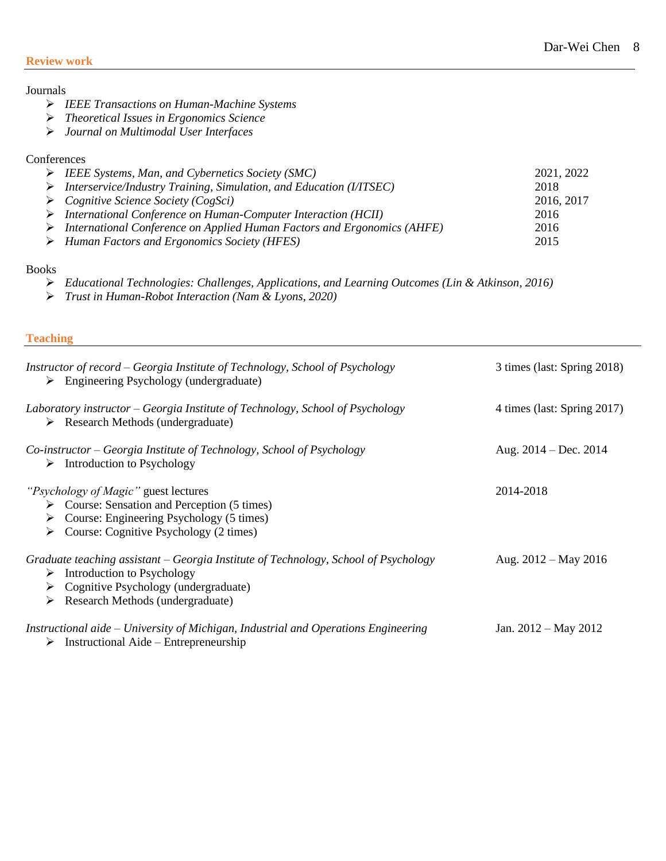## **Review work**

# Journals

- ➢ *IEEE Transactions on Human-Machine Systems*
- ➢ *Theoretical Issues in Ergonomics Science*
- ➢ *Journal on Multimodal User Interfaces*

## **Conferences**

| $\triangleright$ IEEE Systems, Man, and Cybernetics Society (SMC)                        | 2021, 2022 |
|------------------------------------------------------------------------------------------|------------|
| $\triangleright$ Interservice/Industry Training, Simulation, and Education (I/ITSEC)     | 2018       |
| $\triangleright$ Cognitive Science Society (CogSci)                                      | 2016, 2017 |
| $\triangleright$ International Conference on Human-Computer Interaction (HCII)           | 2016       |
| $\triangleright$ International Conference on Applied Human Factors and Ergonomics (AHFE) | 2016       |
| $\triangleright$ Human Factors and Ergonomics Society (HFES)                             | 2015       |

# Books

- ➢ *Educational Technologies: Challenges, Applications, and Learning Outcomes (Lin & Atkinson, 2016)*
- ➢ *Trust in Human-Robot Interaction (Nam & Lyons, 2020)*

## **Teaching**

| Instructor of record – Georgia Institute of Technology, School of Psychology<br>$\triangleright$ Engineering Psychology (undergraduate)                                                                                              | 3 times (last: Spring 2018) |
|--------------------------------------------------------------------------------------------------------------------------------------------------------------------------------------------------------------------------------------|-----------------------------|
| Laboratory instructor – Georgia Institute of Technology, School of Psychology<br>$\triangleright$ Research Methods (undergraduate)                                                                                                   | 4 times (last: Spring 2017) |
| Co-instructor – Georgia Institute of Technology, School of Psychology<br>$\triangleright$ Introduction to Psychology                                                                                                                 | Aug. $2014 - Dec. 2014$     |
| <i>"Psychology of Magic"</i> guest lectures<br>$\triangleright$ Course: Sensation and Perception (5 times)<br>$\triangleright$ Course: Engineering Psychology (5 times)<br>$\triangleright$ Course: Cognitive Psychology (2 times)   | 2014-2018                   |
| Graduate teaching assistant – Georgia Institute of Technology, School of Psychology<br>$\triangleright$ Introduction to Psychology<br>$\triangleright$ Cognitive Psychology (undergraduate)<br>Research Methods (undergraduate)<br>➤ | Aug. $2012 - May 2016$      |
| Instructional aide – University of Michigan, Industrial and Operations Engineering<br>$\triangleright$ Instructional Aide – Entrepreneurship                                                                                         | Jan. $2012 - May 2012$      |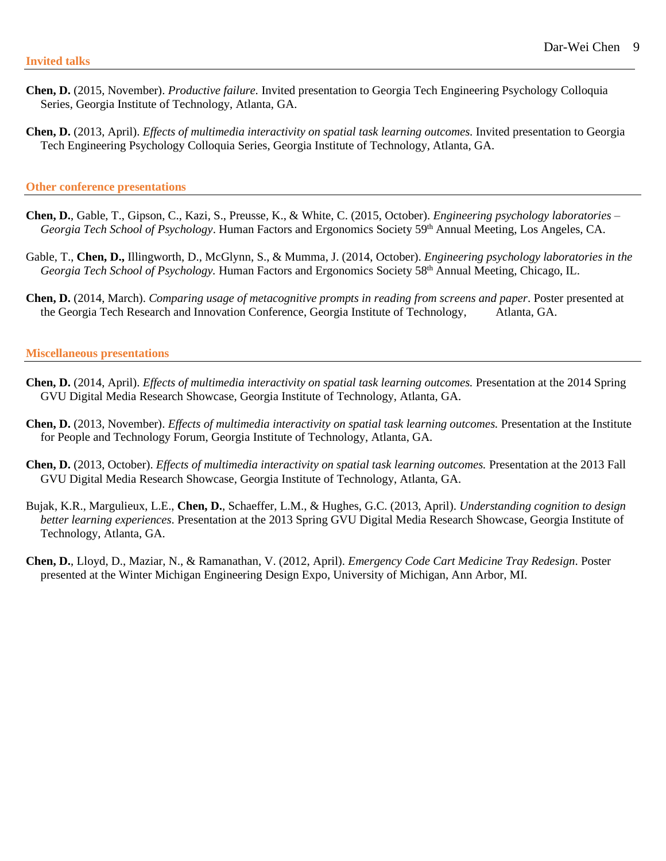- **Chen, D.** (2015, November). *Productive failure.* Invited presentation to Georgia Tech Engineering Psychology Colloquia Series, Georgia Institute of Technology, Atlanta, GA.
- **Chen, D.** (2013, April). *Effects of multimedia interactivity on spatial task learning outcomes.* Invited presentation to Georgia Tech Engineering Psychology Colloquia Series, Georgia Institute of Technology, Atlanta, GA.

#### **Other conference presentations**

- **Chen, D.**, Gable, T., Gipson, C., Kazi, S., Preusse, K., & White, C. (2015, October). *Engineering psychology laboratories – Georgia Tech School of Psychology*. Human Factors and Ergonomics Society 59th Annual Meeting, Los Angeles, CA.
- Gable, T., **Chen, D.,** Illingworth, D., McGlynn, S., & Mumma, J. (2014, October). *Engineering psychology laboratories in the Georgia Tech School of Psychology.* Human Factors and Ergonomics Society 58<sup>th</sup> Annual Meeting, Chicago, IL.
- **Chen, D.** (2014, March). *Comparing usage of metacognitive prompts in reading from screens and paper*. Poster presented at the Georgia Tech Research and Innovation Conference, Georgia Institute of Technology, Atlanta, GA.

#### **Miscellaneous presentations**

- **Chen, D.** (2014, April). *Effects of multimedia interactivity on spatial task learning outcomes.* Presentation at the 2014 Spring GVU Digital Media Research Showcase, Georgia Institute of Technology, Atlanta, GA.
- **Chen, D.** (2013, November). *Effects of multimedia interactivity on spatial task learning outcomes.* Presentation at the Institute for People and Technology Forum, Georgia Institute of Technology, Atlanta, GA.
- **Chen, D.** (2013, October). *Effects of multimedia interactivity on spatial task learning outcomes.* Presentation at the 2013 Fall GVU Digital Media Research Showcase, Georgia Institute of Technology, Atlanta, GA.
- Bujak, K.R., Margulieux, L.E., **Chen, D.**, Schaeffer, L.M., & Hughes, G.C. (2013, April). *Understanding cognition to design better learning experiences*. Presentation at the 2013 Spring GVU Digital Media Research Showcase, Georgia Institute of Technology, Atlanta, GA.
- **Chen, D.**, Lloyd, D., Maziar, N., & Ramanathan, V. (2012, April). *Emergency Code Cart Medicine Tray Redesign*. Poster presented at the Winter Michigan Engineering Design Expo, University of Michigan, Ann Arbor, MI.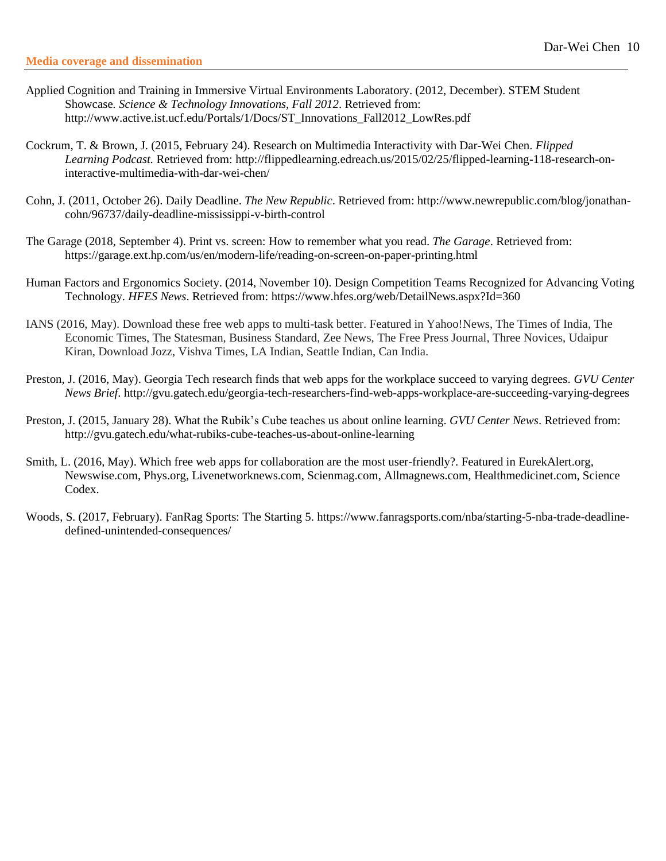- Applied Cognition and Training in Immersive Virtual Environments Laboratory. (2012, December). STEM Student Showcase*. Science & Technology Innovations, Fall 2012*. Retrieved from: [http://www.active.ist.ucf.edu/Portals/1/Docs/ST\\_Innovations\\_Fall2012\\_LowRes.pdf](http://www.active.ist.ucf.edu/Portals/1/Docs/ST_Innovations_Fall2012_LowRes.pdf)
- Cockrum, T. & Brown, J. (2015, February 24). Research on Multimedia Interactivity with Dar-Wei Chen. *Flipped Learning Podcast.* Retrieved from: [http://flippedlearning.edreach.us/2015/02/25/flipped-learning-118-research-on](http://flippedlearning.edreach.us/2015/02/25/flipped-learning-118-research-on-)interactive-multimedia-with-dar-wei-chen/
- Cohn, J. (2011, October 26). Daily Deadline. *The New Republic*. Retrieved from: [http://www.newrepublic.com/blog/jonathan](http://www.newrepublic.com/blog/jonathan-)cohn/96737/daily-deadline-mississippi-v-birth-control
- The Garage (2018, September 4). Print vs. screen: How to remember what you read. *The Garage*. Retrieved from: https://garage.ext.hp.com/us/en/modern-life/reading-on-screen-on-paper-printing.html
- Human Factors and Ergonomics Society. (2014, November 10). Design Competition Teams Recognized for Advancing Voting Technology. *HFES News*. Retrieved from: [https://www.hfes.org/web/DetailNews.aspx?](https://www.hfes.org/web/DetailNews.aspx)Id=360
- IANS (2016, May). Download these free web apps to multi-task better. Featured in Yahoo!News, The Times of India, The Economic Times, The Statesman, Business Standard, Zee News, The Free Press Journal, Three Novices, Udaipur Kiran, Download Jozz, Vishva Times, LA Indian, Seattle Indian, Can India.
- Preston, J. (2016, May). Georgia Tech research finds that web apps for the workplace succeed to varying degrees. *GVU Center News Brief*. <http://gvu.gatech.edu/georgia-tech-researchers-find-web-apps-workplace-are-succeeding-varying-degrees>
- Preston, J. (2015, January 28). What the Rubik's Cube teaches us about online learning. *GVU Center News*. Retrieved from: http://gvu.gatech.edu/what-rubiks-cube-teaches-us-about-online-learning
- Smith, L. (2016, May). Which free web apps for collaboration are the most user-friendly?. Featured in EurekAlert.org, Newswise.com, Phys.org, Livenetworknews.com, Scienmag.com, Allmagnews.com, Healthmedicinet.com, Science Codex.
- Woods, S. (2017, February). FanRag Sports: The Starting 5. [https://www.fanragsports.com/nba/starting-5-nba-trade-deadline](https://www.fanragsports.com/nba/starting-5-nba-trade-deadline-defined-unintended-consequences/)[defined-unintended-consequences/](https://www.fanragsports.com/nba/starting-5-nba-trade-deadline-defined-unintended-consequences/)